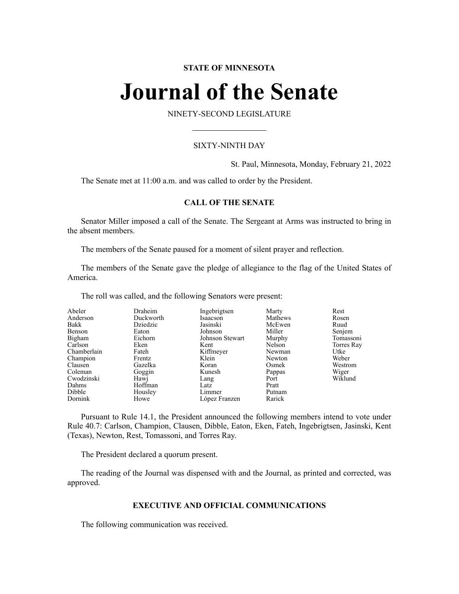# **STATE OF MINNESOTA**

# **Journal of the Senate**

NINETY-SECOND LEGISLATURE

# SIXTY-NINTH DAY

St. Paul, Minnesota, Monday, February 21, 2022

The Senate met at 11:00 a.m. and was called to order by the President.

# **CALL OF THE SENATE**

Senator Miller imposed a call of the Senate. The Sergeant at Arms was instructed to bring in the absent members.

The members of the Senate paused for a moment of silent prayer and reflection.

The members of the Senate gave the pledge of allegiance to the flag of the United States of America.

The roll was called, and the following Senators were present:

| Abeler      | Draheim   | Ingebrigtsen    | Marty   | Rest       |
|-------------|-----------|-----------------|---------|------------|
| Anderson    | Duckworth | Isaacson        | Mathews | Rosen      |
| Bakk        | Dziedzic  | Jasinski        | McEwen  | Ruud       |
| Benson      | Eaton     | Johnson         | Miller  | Senjem     |
| Bigham      | Eichorn   | Johnson Stewart | Murphy  | Tomassoni  |
| Carlson     | Eken      | Kent            | Nelson  | Torres Ray |
| Chamberlain | Fateh     | Kiffmeyer       | Newman  | Utke       |
| Champion    | Frentz    | Klein           | Newton  | Weber      |
| Clausen     | Gazelka   | Koran           | Osmek   | Westrom    |
| Coleman     | Goggin    | Kunesh          | Pappas  | Wiger      |
| Cwodzinski  | Hawj      | Lang            | Port    | Wiklund    |
| Dahms       | Hoffman   | Latz            | Pratt   |            |
| Dibble      | Housley   | Limmer          | Putnam  |            |
| Dornink     | Howe      | López Franzen   | Rarick  |            |

Pursuant to Rule 14.1, the President announced the following members intend to vote under Rule 40.7: Carlson, Champion, Clausen, Dibble, Eaton, Eken, Fateh, Ingebrigtsen, Jasinski, Kent (Texas), Newton, Rest, Tomassoni, and Torres Ray.

The President declared a quorum present.

The reading of the Journal was dispensed with and the Journal, as printed and corrected, was approved.

# **EXECUTIVE AND OFFICIAL COMMUNICATIONS**

The following communication was received.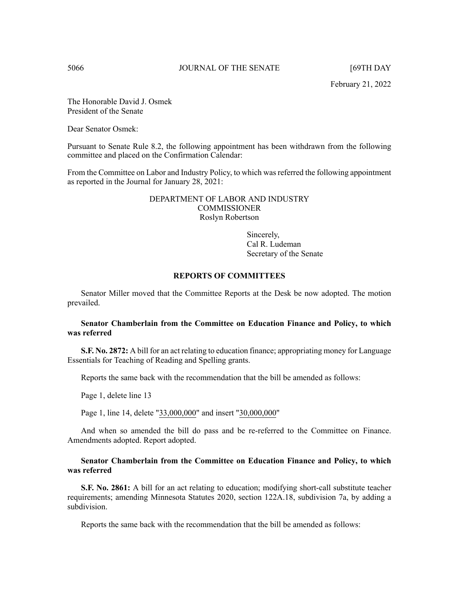February 21, 2022

The Honorable David J. Osmek President of the Senate

Dear Senator Osmek:

Pursuant to Senate Rule 8.2, the following appointment has been withdrawn from the following committee and placed on the Confirmation Calendar:

From the Committee on Labor and Industry Policy, to which was referred the following appointment as reported in the Journal for January 28, 2021:

> DEPARTMENT OF LABOR AND INDUSTRY **COMMISSIONER** Roslyn Robertson

> > Sincerely, Cal R. Ludeman Secretary of the Senate

### **REPORTS OF COMMITTEES**

Senator Miller moved that the Committee Reports at the Desk be now adopted. The motion prevailed.

# **Senator Chamberlain from the Committee on Education Finance and Policy, to which was referred**

**S.F. No. 2872:** A bill for an act relating to education finance; appropriating money for Language Essentials for Teaching of Reading and Spelling grants.

Reports the same back with the recommendation that the bill be amended as follows:

Page 1, delete line 13

Page 1, line 14, delete "33,000,000" and insert "30,000,000"

And when so amended the bill do pass and be re-referred to the Committee on Finance. Amendments adopted. Report adopted.

# **Senator Chamberlain from the Committee on Education Finance and Policy, to which was referred**

**S.F. No. 2861:** A bill for an act relating to education; modifying short-call substitute teacher requirements; amending Minnesota Statutes 2020, section 122A.18, subdivision 7a, by adding a subdivision.

Reports the same back with the recommendation that the bill be amended as follows: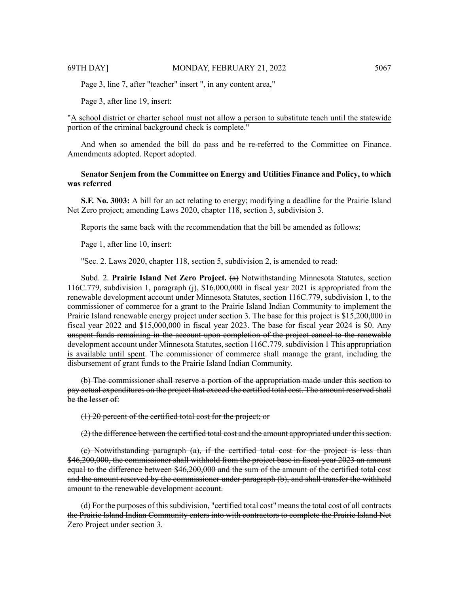Page 3, line 7, after "teacher" insert ", in any content area,"

Page 3, after line 19, insert:

"A school district or charter school must not allow a person to substitute teach until the statewide portion of the criminal background check is complete."

And when so amended the bill do pass and be re-referred to the Committee on Finance. Amendments adopted. Report adopted.

# **Senator Senjem from the Committee on Energy and Utilities Finance and Policy, to which was referred**

**S.F. No. 3003:** A bill for an act relating to energy; modifying a deadline for the Prairie Island Net Zero project; amending Laws 2020, chapter 118, section 3, subdivision 3.

Reports the same back with the recommendation that the bill be amended as follows:

Page 1, after line 10, insert:

"Sec. 2. Laws 2020, chapter 118, section 5, subdivision 2, is amended to read:

Subd. 2. **Prairie Island Net Zero Project.** (a) Notwithstanding Minnesota Statutes, section 116C.779, subdivision 1, paragraph (j), \$16,000,000 in fiscal year 2021 is appropriated from the renewable development account under Minnesota Statutes, section 116C.779, subdivision 1, to the commissioner of commerce for a grant to the Prairie Island Indian Community to implement the Prairie Island renewable energy project under section 3. The base for this project is \$15,200,000 in fiscal year 2022 and \$15,000,000 in fiscal year 2023. The base for fiscal year 2024 is \$0. Any unspent funds remaining in the account upon completion of the project cancel to the renewable development account under Minnesota Statutes, section 116C.779, subdivision 1 This appropriation is available until spent. The commissioner of commerce shall manage the grant, including the disbursement of grant funds to the Prairie Island Indian Community.

(b) The commissioner shall reserve a portion of the appropriation made under this section to pay actual expenditures on the project that exceed the certified total cost. The amount reserved shall be the lesser of:

(1) 20 percent of the certified total cost for the project; or

(2) the difference between the certified total cost and the amount appropriated under this section.

(c) Notwithstanding paragraph (a), if the certified total cost for the project is less than \$46,200,000, the commissioner shall withhold from the project base in fiscal year 2023 an amount equal to the difference between \$46,200,000 and the sum of the amount of the certified total cost and the amount reserved by the commissioner under paragraph (b), and shall transfer the withheld amount to the renewable development account.

(d) For the purposes of this subdivision, "certified total cost" means the total cost of all contracts the Prairie Island Indian Community enters into with contractors to complete the Prairie Island Net Zero Project under section 3.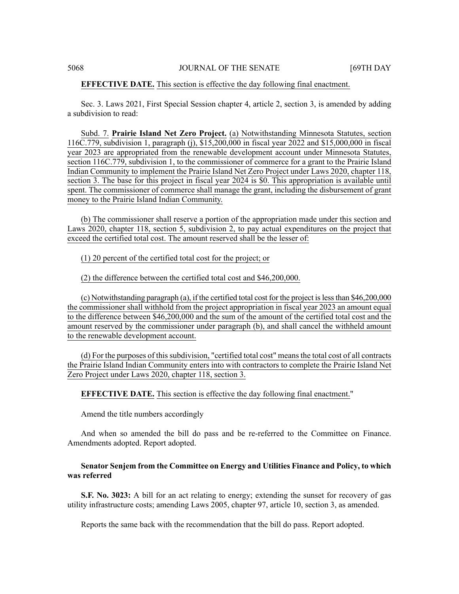#### **EFFECTIVE DATE.** This section is effective the day following final enactment.

Sec. 3. Laws 2021, First Special Session chapter 4, article 2, section 3, is amended by adding a subdivision to read:

Subd. 7. **Prairie Island Net Zero Project.** (a) Notwithstanding Minnesota Statutes, section 116C.779, subdivision 1, paragraph (j), \$15,200,000 in fiscal year 2022 and \$15,000,000 in fiscal year 2023 are appropriated from the renewable development account under Minnesota Statutes, section 116C.779, subdivision 1, to the commissioner of commerce for a grant to the Prairie Island Indian Community to implement the Prairie Island Net Zero Project under Laws 2020, chapter 118, section 3. The base for this project in fiscal year 2024 is \$0. This appropriation is available until spent. The commissioner of commerce shall manage the grant, including the disbursement of grant money to the Prairie Island Indian Community.

(b) The commissioner shall reserve a portion of the appropriation made under this section and Laws 2020, chapter 118, section 5, subdivision 2, to pay actual expenditures on the project that exceed the certified total cost. The amount reserved shall be the lesser of:

(1) 20 percent of the certified total cost for the project; or

(2) the difference between the certified total cost and \$46,200,000.

(c) Notwithstanding paragraph (a), if the certified total cost for the project islessthan \$46,200,000 the commissioner shall withhold from the project appropriation in fiscal year 2023 an amount equal to the difference between \$46,200,000 and the sum of the amount of the certified total cost and the amount reserved by the commissioner under paragraph (b), and shall cancel the withheld amount to the renewable development account.

(d) For the purposes of thissubdivision, "certified total cost" meansthe total cost of all contracts the Prairie Island Indian Community enters into with contractors to complete the Prairie Island Net Zero Project under Laws 2020, chapter 118, section 3.

**EFFECTIVE DATE.** This section is effective the day following final enactment."

Amend the title numbers accordingly

And when so amended the bill do pass and be re-referred to the Committee on Finance. Amendments adopted. Report adopted.

# **Senator Senjem from the Committee on Energy and Utilities Finance and Policy, to which was referred**

**S.F. No. 3023:** A bill for an act relating to energy; extending the sunset for recovery of gas utility infrastructure costs; amending Laws 2005, chapter 97, article 10, section 3, as amended.

Reports the same back with the recommendation that the bill do pass. Report adopted.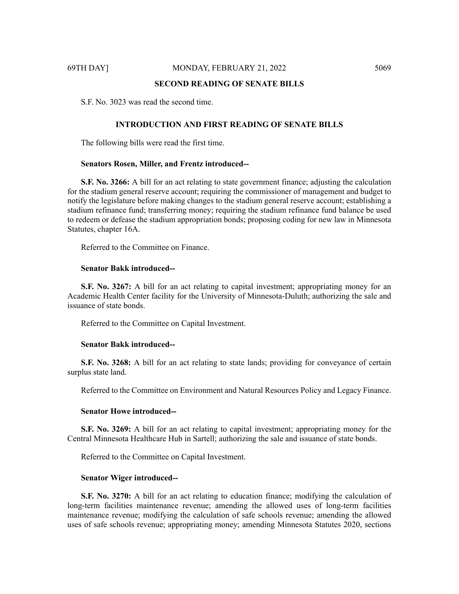# **SECOND READING OF SENATE BILLS**

S.F. No. 3023 was read the second time.

# **INTRODUCTION AND FIRST READING OF SENATE BILLS**

The following bills were read the first time.

#### **Senators Rosen, Miller, and Frentz introduced--**

**S.F. No. 3266:** A bill for an act relating to state government finance; adjusting the calculation for the stadium general reserve account; requiring the commissioner of management and budget to notify the legislature before making changes to the stadium general reserve account; establishing a stadium refinance fund; transferring money; requiring the stadium refinance fund balance be used to redeem or defease the stadium appropriation bonds; proposing coding for new law in Minnesota Statutes, chapter 16A.

Referred to the Committee on Finance.

# **Senator Bakk introduced--**

**S.F. No. 3267:** A bill for an act relating to capital investment; appropriating money for an Academic Health Center facility for the University of Minnesota-Duluth; authorizing the sale and issuance of state bonds.

Referred to the Committee on Capital Investment.

#### **Senator Bakk introduced--**

**S.F. No. 3268:** A bill for an act relating to state lands; providing for conveyance of certain surplus state land.

Referred to the Committee on Environment and Natural Resources Policy and Legacy Finance.

#### **Senator Howe introduced--**

**S.F. No. 3269:** A bill for an act relating to capital investment; appropriating money for the Central Minnesota Healthcare Hub in Sartell; authorizing the sale and issuance of state bonds.

Referred to the Committee on Capital Investment.

#### **Senator Wiger introduced--**

**S.F. No. 3270:** A bill for an act relating to education finance; modifying the calculation of long-term facilities maintenance revenue; amending the allowed uses of long-term facilities maintenance revenue; modifying the calculation of safe schools revenue; amending the allowed uses of safe schools revenue; appropriating money; amending Minnesota Statutes 2020, sections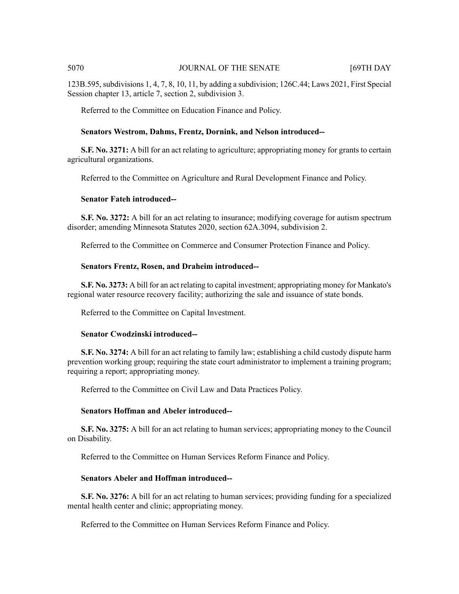123B.595,subdivisions 1, 4, 7, 8, 10, 11, by adding a subdivision; 126C.44; Laws 2021, First Special Session chapter 13, article 7, section 2, subdivision 3.

Referred to the Committee on Education Finance and Policy.

# **Senators Westrom, Dahms, Frentz, Dornink, and Nelson introduced--**

**S.F. No. 3271:** A bill for an act relating to agriculture; appropriating money for grants to certain agricultural organizations.

Referred to the Committee on Agriculture and Rural Development Finance and Policy.

# **Senator Fateh introduced--**

**S.F. No. 3272:** A bill for an act relating to insurance; modifying coverage for autism spectrum disorder; amending Minnesota Statutes 2020, section 62A.3094, subdivision 2.

Referred to the Committee on Commerce and Consumer Protection Finance and Policy.

# **Senators Frentz, Rosen, and Draheim introduced--**

**S.F. No. 3273:** A bill for an act relating to capital investment; appropriating money for Mankato's regional water resource recovery facility; authorizing the sale and issuance of state bonds.

Referred to the Committee on Capital Investment.

# **Senator Cwodzinski introduced--**

**S.F. No. 3274:** A bill for an act relating to family law; establishing a child custody dispute harm prevention working group; requiring the state court administrator to implement a training program; requiring a report; appropriating money.

Referred to the Committee on Civil Law and Data Practices Policy.

# **Senators Hoffman and Abeler introduced--**

**S.F. No. 3275:** A bill for an act relating to human services; appropriating money to the Council on Disability.

Referred to the Committee on Human Services Reform Finance and Policy.

# **Senators Abeler and Hoffman introduced--**

**S.F. No. 3276:** A bill for an act relating to human services; providing funding for a specialized mental health center and clinic; appropriating money.

Referred to the Committee on Human Services Reform Finance and Policy.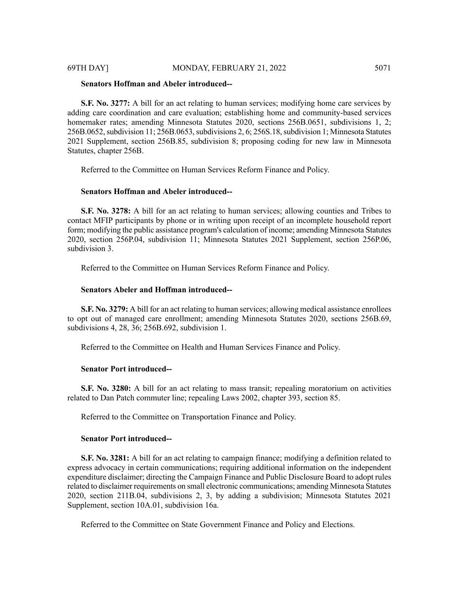# **Senators Hoffman and Abeler introduced--**

**S.F. No. 3277:** A bill for an act relating to human services; modifying home care services by adding care coordination and care evaluation; establishing home and community-based services homemaker rates; amending Minnesota Statutes 2020, sections 256B.0651, subdivisions 1, 2; 256B.0652, subdivision 11; 256B.0653, subdivisions 2, 6; 256S.18, subdivision 1; Minnesota Statutes 2021 Supplement, section 256B.85, subdivision 8; proposing coding for new law in Minnesota Statutes, chapter 256B.

Referred to the Committee on Human Services Reform Finance and Policy.

#### **Senators Hoffman and Abeler introduced--**

**S.F. No. 3278:** A bill for an act relating to human services; allowing counties and Tribes to contact MFIP participants by phone or in writing upon receipt of an incomplete household report form; modifying the public assistance program's calculation of income; amending Minnesota Statutes 2020, section 256P.04, subdivision 11; Minnesota Statutes 2021 Supplement, section 256P.06, subdivision 3.

Referred to the Committee on Human Services Reform Finance and Policy.

# **Senators Abeler and Hoffman introduced--**

**S.F. No. 3279:** A bill for an act relating to human services; allowing medical assistance enrollees to opt out of managed care enrollment; amending Minnesota Statutes 2020, sections 256B.69, subdivisions 4, 28, 36; 256B.692, subdivision 1.

Referred to the Committee on Health and Human Services Finance and Policy.

# **Senator Port introduced--**

**S.F. No. 3280:** A bill for an act relating to mass transit; repealing moratorium on activities related to Dan Patch commuter line; repealing Laws 2002, chapter 393, section 85.

Referred to the Committee on Transportation Finance and Policy.

#### **Senator Port introduced--**

**S.F. No. 3281:** A bill for an act relating to campaign finance; modifying a definition related to express advocacy in certain communications; requiring additional information on the independent expenditure disclaimer; directing the Campaign Finance and Public Disclosure Board to adopt rules related to disclaimer requirements on small electronic communications; amending Minnesota Statutes 2020, section 211B.04, subdivisions 2, 3, by adding a subdivision; Minnesota Statutes 2021 Supplement, section 10A.01, subdivision 16a.

Referred to the Committee on State Government Finance and Policy and Elections.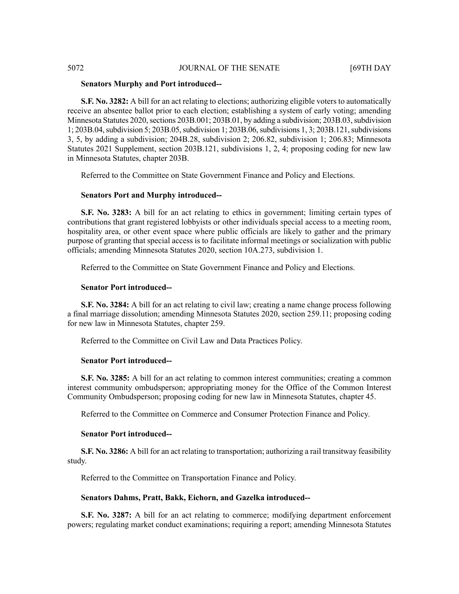# 5072 JOURNAL OF THE SENATE [69TH DAY

#### **Senators Murphy and Port introduced--**

**S.F. No. 3282:** A bill for an act relating to elections; authorizing eligible voters to automatically receive an absentee ballot prior to each election; establishing a system of early voting; amending Minnesota Statutes 2020, sections 203B.001; 203B.01, by adding a subdivision; 203B.03, subdivision 1; 203B.04, subdivision 5; 203B.05, subdivision 1; 203B.06, subdivisions 1, 3; 203B.121, subdivisions 3, 5, by adding a subdivision; 204B.28, subdivision 2; 206.82, subdivision 1; 206.83; Minnesota Statutes 2021 Supplement, section 203B.121, subdivisions 1, 2, 4; proposing coding for new law in Minnesota Statutes, chapter 203B.

Referred to the Committee on State Government Finance and Policy and Elections.

### **Senators Port and Murphy introduced--**

**S.F. No. 3283:** A bill for an act relating to ethics in government; limiting certain types of contributions that grant registered lobbyists or other individuals special access to a meeting room, hospitality area, or other event space where public officials are likely to gather and the primary purpose of granting that special access is to facilitate informal meetings or socialization with public officials; amending Minnesota Statutes 2020, section 10A.273, subdivision 1.

Referred to the Committee on State Government Finance and Policy and Elections.

#### **Senator Port introduced--**

**S.F. No. 3284:** A bill for an act relating to civil law; creating a name change process following a final marriage dissolution; amending Minnesota Statutes 2020, section 259.11; proposing coding for new law in Minnesota Statutes, chapter 259.

Referred to the Committee on Civil Law and Data Practices Policy.

#### **Senator Port introduced--**

**S.F.** No. 3285: A bill for an act relating to common interest communities; creating a common interest community ombudsperson; appropriating money for the Office of the Common Interest Community Ombudsperson; proposing coding for new law in Minnesota Statutes, chapter 45.

Referred to the Committee on Commerce and Consumer Protection Finance and Policy.

#### **Senator Port introduced--**

**S.F. No. 3286:** A bill for an act relating to transportation; authorizing a rail transitway feasibility study.

Referred to the Committee on Transportation Finance and Policy.

# **Senators Dahms, Pratt, Bakk, Eichorn, and Gazelka introduced--**

**S.F. No. 3287:** A bill for an act relating to commerce; modifying department enforcement powers; regulating market conduct examinations; requiring a report; amending Minnesota Statutes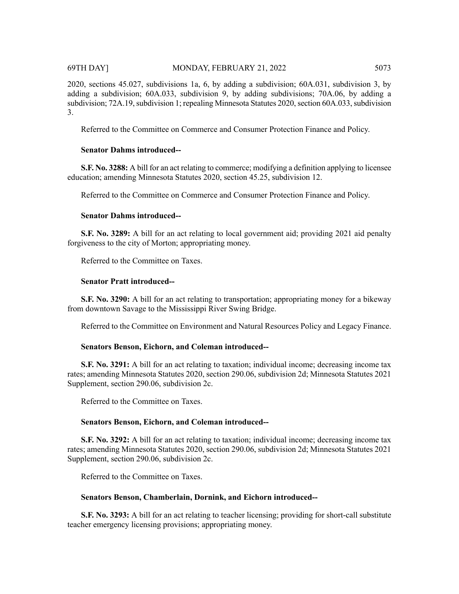2020, sections 45.027, subdivisions 1a, 6, by adding a subdivision; 60A.031, subdivision 3, by adding a subdivision; 60A.033, subdivision 9, by adding subdivisions; 70A.06, by adding a subdivision; 72A.19, subdivision 1; repealing Minnesota Statutes 2020, section 60A.033, subdivision 3.

Referred to the Committee on Commerce and Consumer Protection Finance and Policy.

# **Senator Dahms introduced--**

**S.F. No. 3288:** A bill for an act relating to commerce; modifying a definition applying to licensee education; amending Minnesota Statutes 2020, section 45.25, subdivision 12.

Referred to the Committee on Commerce and Consumer Protection Finance and Policy.

# **Senator Dahms introduced--**

**S.F. No. 3289:** A bill for an act relating to local government aid; providing 2021 aid penalty forgiveness to the city of Morton; appropriating money.

Referred to the Committee on Taxes.

# **Senator Pratt introduced--**

**S.F. No. 3290:** A bill for an act relating to transportation; appropriating money for a bikeway from downtown Savage to the Mississippi River Swing Bridge.

Referred to the Committee on Environment and Natural Resources Policy and Legacy Finance.

# **Senators Benson, Eichorn, and Coleman introduced--**

**S.F. No. 3291:** A bill for an act relating to taxation; individual income; decreasing income tax rates; amending Minnesota Statutes 2020, section 290.06, subdivision 2d; Minnesota Statutes 2021 Supplement, section 290.06, subdivision 2c.

Referred to the Committee on Taxes.

# **Senators Benson, Eichorn, and Coleman introduced--**

**S.F. No. 3292:** A bill for an act relating to taxation; individual income; decreasing income tax rates; amending Minnesota Statutes 2020, section 290.06, subdivision 2d; Minnesota Statutes 2021 Supplement, section 290.06, subdivision 2c.

Referred to the Committee on Taxes.

# **Senators Benson, Chamberlain, Dornink, and Eichorn introduced--**

**S.F. No. 3293:** A bill for an act relating to teacher licensing; providing for short-call substitute teacher emergency licensing provisions; appropriating money.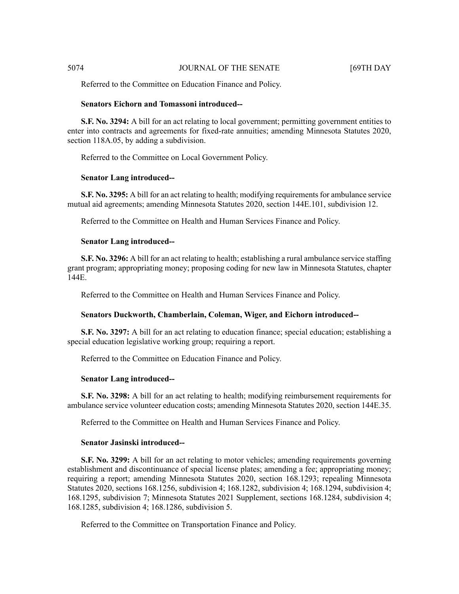Referred to the Committee on Education Finance and Policy.

# **Senators Eichorn and Tomassoni introduced--**

**S.F. No. 3294:** A bill for an act relating to local government; permitting government entities to enter into contracts and agreements for fixed-rate annuities; amending Minnesota Statutes 2020, section 118A.05, by adding a subdivision.

Referred to the Committee on Local Government Policy.

### **Senator Lang introduced--**

**S.F. No. 3295:** A bill for an act relating to health; modifying requirements for ambulance service mutual aid agreements; amending Minnesota Statutes 2020, section 144E.101, subdivision 12.

Referred to the Committee on Health and Human Services Finance and Policy.

#### **Senator Lang introduced--**

**S.F. No. 3296:** A bill for an act relating to health; establishing a rural ambulance service staffing grant program; appropriating money; proposing coding for new law in Minnesota Statutes, chapter 144E.

Referred to the Committee on Health and Human Services Finance and Policy.

#### **Senators Duckworth, Chamberlain, Coleman, Wiger, and Eichorn introduced--**

**S.F. No. 3297:** A bill for an act relating to education finance; special education; establishing a special education legislative working group; requiring a report.

Referred to the Committee on Education Finance and Policy.

#### **Senator Lang introduced--**

**S.F. No. 3298:** A bill for an act relating to health; modifying reimbursement requirements for ambulance service volunteer education costs; amending Minnesota Statutes 2020, section 144E.35.

Referred to the Committee on Health and Human Services Finance and Policy.

#### **Senator Jasinski introduced--**

**S.F. No. 3299:** A bill for an act relating to motor vehicles; amending requirements governing establishment and discontinuance of special license plates; amending a fee; appropriating money; requiring a report; amending Minnesota Statutes 2020, section 168.1293; repealing Minnesota Statutes 2020, sections 168.1256, subdivision 4; 168.1282, subdivision 4; 168.1294, subdivision 4; 168.1295, subdivision 7; Minnesota Statutes 2021 Supplement, sections 168.1284, subdivision 4; 168.1285, subdivision 4; 168.1286, subdivision 5.

Referred to the Committee on Transportation Finance and Policy.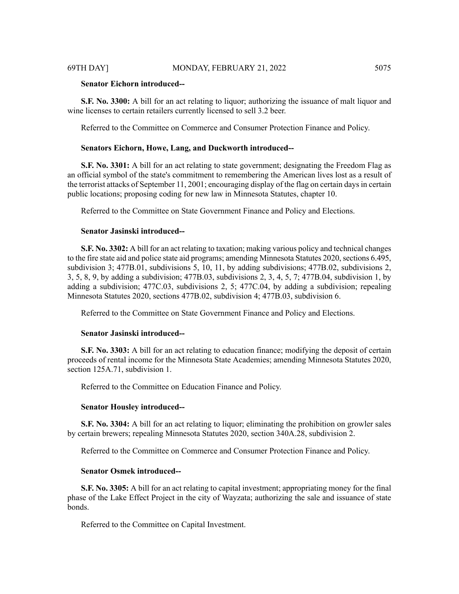# **Senator Eichorn introduced--**

**S.F. No. 3300:** A bill for an act relating to liquor; authorizing the issuance of malt liquor and wine licenses to certain retailers currently licensed to sell 3.2 beer.

Referred to the Committee on Commerce and Consumer Protection Finance and Policy.

### **Senators Eichorn, Howe, Lang, and Duckworth introduced--**

**S.F. No. 3301:** A bill for an act relating to state government; designating the Freedom Flag as an official symbol of the state's commitment to remembering the American lives lost as a result of the terrorist attacks of September 11, 2001; encouraging display of the flag on certain daysin certain public locations; proposing coding for new law in Minnesota Statutes, chapter 10.

Referred to the Committee on State Government Finance and Policy and Elections.

# **Senator Jasinski introduced--**

**S.F. No. 3302:** A bill for an act relating to taxation; making various policy and technical changes to the fire state aid and police state aid programs; amending Minnesota Statutes 2020, sections 6.495, subdivision 3; 477B.01, subdivisions 5, 10, 11, by adding subdivisions; 477B.02, subdivisions 2, 3, 5, 8, 9, by adding a subdivision; 477B.03, subdivisions 2, 3, 4, 5, 7; 477B.04, subdivision 1, by adding a subdivision; 477C.03, subdivisions 2, 5; 477C.04, by adding a subdivision; repealing Minnesota Statutes 2020, sections 477B.02, subdivision 4; 477B.03, subdivision 6.

Referred to the Committee on State Government Finance and Policy and Elections.

#### **Senator Jasinski introduced--**

**S.F. No. 3303:** A bill for an act relating to education finance; modifying the deposit of certain proceeds of rental income for the Minnesota State Academies; amending Minnesota Statutes 2020, section 125A.71, subdivision 1.

Referred to the Committee on Education Finance and Policy.

#### **Senator Housley introduced--**

**S.F. No. 3304:** A bill for an act relating to liquor; eliminating the prohibition on growler sales by certain brewers; repealing Minnesota Statutes 2020, section 340A.28, subdivision 2.

Referred to the Committee on Commerce and Consumer Protection Finance and Policy.

#### **Senator Osmek introduced--**

**S.F. No. 3305:** A bill for an act relating to capital investment; appropriating money for the final phase of the Lake Effect Project in the city of Wayzata; authorizing the sale and issuance of state bonds.

Referred to the Committee on Capital Investment.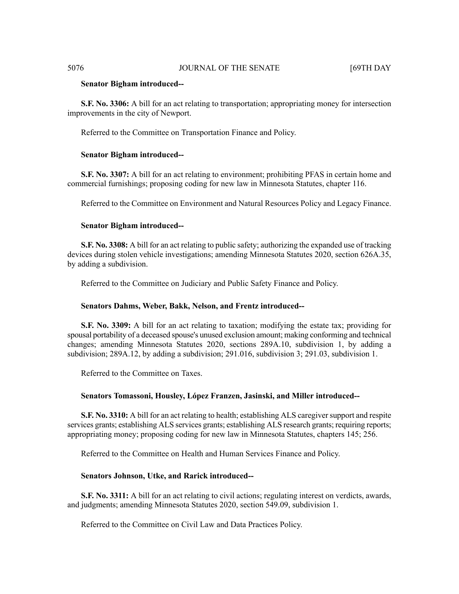#### **Senator Bigham introduced--**

**S.F. No. 3306:** A bill for an act relating to transportation; appropriating money for intersection improvements in the city of Newport.

Referred to the Committee on Transportation Finance and Policy.

#### **Senator Bigham introduced--**

**S.F. No. 3307:** A bill for an act relating to environment; prohibiting PFAS in certain home and commercial furnishings; proposing coding for new law in Minnesota Statutes, chapter 116.

Referred to the Committee on Environment and Natural Resources Policy and Legacy Finance.

#### **Senator Bigham introduced--**

**S.F. No. 3308:** A bill for an act relating to public safety; authorizing the expanded use of tracking devices during stolen vehicle investigations; amending Minnesota Statutes 2020, section 626A.35, by adding a subdivision.

Referred to the Committee on Judiciary and Public Safety Finance and Policy.

#### **Senators Dahms, Weber, Bakk, Nelson, and Frentz introduced--**

**S.F. No. 3309:** A bill for an act relating to taxation; modifying the estate tax; providing for spousal portability of a deceased spouse's unused exclusion amount; making conforming and technical changes; amending Minnesota Statutes 2020, sections 289A.10, subdivision 1, by adding a subdivision; 289A.12, by adding a subdivision; 291.016, subdivision 3; 291.03, subdivision 1.

Referred to the Committee on Taxes.

#### **Senators Tomassoni, Housley, López Franzen, Jasinski, and Miller introduced--**

**S.F. No. 3310:** A bill for an act relating to health; establishing ALS caregiver support and respite services grants; establishing ALS services grants; establishing ALS research grants; requiring reports; appropriating money; proposing coding for new law in Minnesota Statutes, chapters 145; 256.

Referred to the Committee on Health and Human Services Finance and Policy.

### **Senators Johnson, Utke, and Rarick introduced--**

**S.F. No. 3311:** A bill for an act relating to civil actions; regulating interest on verdicts, awards, and judgments; amending Minnesota Statutes 2020, section 549.09, subdivision 1.

Referred to the Committee on Civil Law and Data Practices Policy.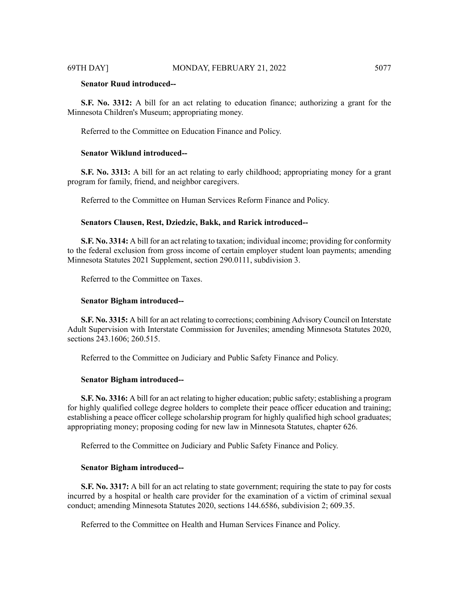# **Senator Ruud introduced--**

**S.F. No. 3312:** A bill for an act relating to education finance; authorizing a grant for the Minnesota Children's Museum; appropriating money.

Referred to the Committee on Education Finance and Policy.

# **Senator Wiklund introduced--**

**S.F. No. 3313:** A bill for an act relating to early childhood; appropriating money for a grant program for family, friend, and neighbor caregivers.

Referred to the Committee on Human Services Reform Finance and Policy.

# **Senators Clausen, Rest, Dziedzic, Bakk, and Rarick introduced--**

**S.F. No. 3314:** A bill for an act relating to taxation; individual income; providing for conformity to the federal exclusion from gross income of certain employer student loan payments; amending Minnesota Statutes 2021 Supplement, section 290.0111, subdivision 3.

Referred to the Committee on Taxes.

#### **Senator Bigham introduced--**

**S.F. No. 3315:** A bill for an act relating to corrections; combining Advisory Council on Interstate Adult Supervision with Interstate Commission for Juveniles; amending Minnesota Statutes 2020, sections 243.1606; 260.515.

Referred to the Committee on Judiciary and Public Safety Finance and Policy.

#### **Senator Bigham introduced--**

**S.F. No. 3316:** A bill for an act relating to higher education; public safety; establishing a program for highly qualified college degree holders to complete their peace officer education and training; establishing a peace officer college scholarship program for highly qualified high school graduates; appropriating money; proposing coding for new law in Minnesota Statutes, chapter 626.

Referred to the Committee on Judiciary and Public Safety Finance and Policy.

#### **Senator Bigham introduced--**

**S.F. No. 3317:** A bill for an act relating to state government; requiring the state to pay for costs incurred by a hospital or health care provider for the examination of a victim of criminal sexual conduct; amending Minnesota Statutes 2020, sections 144.6586, subdivision 2; 609.35.

Referred to the Committee on Health and Human Services Finance and Policy.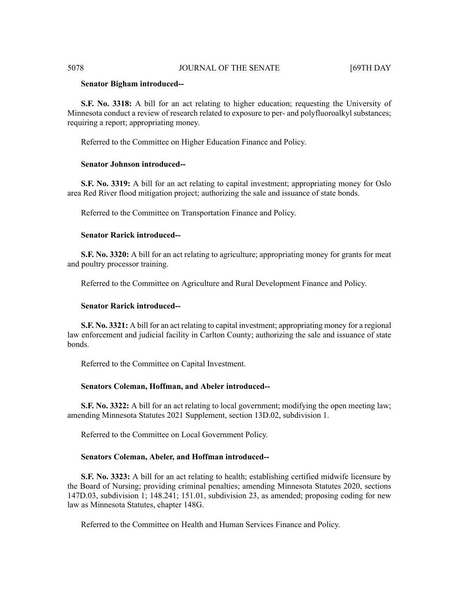# 5078 JOURNAL OF THE SENATE [69TH DAY

#### **Senator Bigham introduced--**

**S.F. No. 3318:** A bill for an act relating to higher education; requesting the University of Minnesota conduct a review of research related to exposure to per- and polyfluoroalkyl substances; requiring a report; appropriating money.

Referred to the Committee on Higher Education Finance and Policy.

#### **Senator Johnson introduced--**

**S.F. No. 3319:** A bill for an act relating to capital investment; appropriating money for Oslo area Red River flood mitigation project; authorizing the sale and issuance of state bonds.

Referred to the Committee on Transportation Finance and Policy.

### **Senator Rarick introduced--**

**S.F. No. 3320:** A bill for an act relating to agriculture; appropriating money for grants for meat and poultry processor training.

Referred to the Committee on Agriculture and Rural Development Finance and Policy.

#### **Senator Rarick introduced--**

**S.F. No. 3321:** A bill for an act relating to capital investment; appropriating money for a regional law enforcement and judicial facility in Carlton County; authorizing the sale and issuance of state bonds.

Referred to the Committee on Capital Investment.

#### **Senators Coleman, Hoffman, and Abeler introduced--**

**S.F. No. 3322:** A bill for an act relating to local government; modifying the open meeting law; amending Minnesota Statutes 2021 Supplement, section 13D.02, subdivision 1.

Referred to the Committee on Local Government Policy.

#### **Senators Coleman, Abeler, and Hoffman introduced--**

**S.F. No. 3323:** A bill for an act relating to health; establishing certified midwife licensure by the Board of Nursing; providing criminal penalties; amending Minnesota Statutes 2020, sections 147D.03, subdivision 1; 148.241; 151.01, subdivision 23, as amended; proposing coding for new law as Minnesota Statutes, chapter 148G.

Referred to the Committee on Health and Human Services Finance and Policy.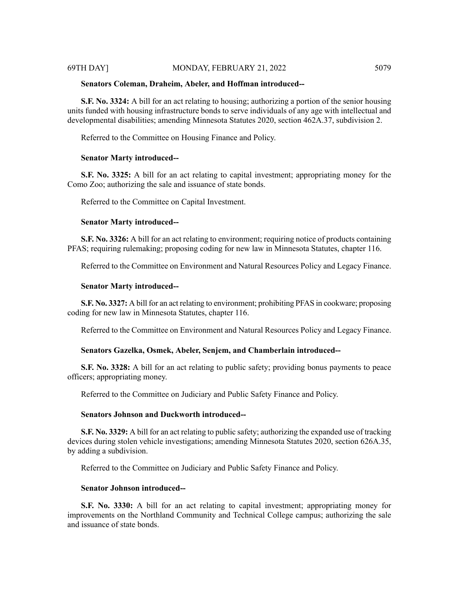#### **Senators Coleman, Draheim, Abeler, and Hoffman introduced--**

**S.F. No. 3324:** A bill for an act relating to housing; authorizing a portion of the senior housing units funded with housing infrastructure bonds to serve individuals of any age with intellectual and developmental disabilities; amending Minnesota Statutes 2020, section 462A.37, subdivision 2.

Referred to the Committee on Housing Finance and Policy.

#### **Senator Marty introduced--**

**S.F. No. 3325:** A bill for an act relating to capital investment; appropriating money for the Como Zoo; authorizing the sale and issuance of state bonds.

Referred to the Committee on Capital Investment.

#### **Senator Marty introduced--**

**S.F. No. 3326:** A bill for an act relating to environment; requiring notice of products containing PFAS; requiring rulemaking; proposing coding for new law in Minnesota Statutes, chapter 116.

Referred to the Committee on Environment and Natural Resources Policy and Legacy Finance.

#### **Senator Marty introduced--**

**S.F. No. 3327:** A bill for an act relating to environment; prohibiting PFAS in cookware; proposing coding for new law in Minnesota Statutes, chapter 116.

Referred to the Committee on Environment and Natural Resources Policy and Legacy Finance.

# **Senators Gazelka, Osmek, Abeler, Senjem, and Chamberlain introduced--**

**S.F. No. 3328:** A bill for an act relating to public safety; providing bonus payments to peace officers; appropriating money.

Referred to the Committee on Judiciary and Public Safety Finance and Policy.

# **Senators Johnson and Duckworth introduced--**

**S.F. No. 3329:** A bill for an act relating to public safety; authorizing the expanded use of tracking devices during stolen vehicle investigations; amending Minnesota Statutes 2020, section 626A.35, by adding a subdivision.

Referred to the Committee on Judiciary and Public Safety Finance and Policy.

## **Senator Johnson introduced--**

**S.F. No. 3330:** A bill for an act relating to capital investment; appropriating money for improvements on the Northland Community and Technical College campus; authorizing the sale and issuance of state bonds.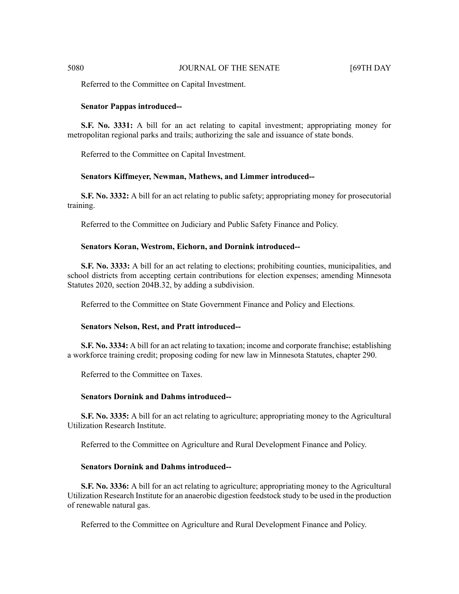Referred to the Committee on Capital Investment.

#### **Senator Pappas introduced--**

**S.F. No. 3331:** A bill for an act relating to capital investment; appropriating money for metropolitan regional parks and trails; authorizing the sale and issuance of state bonds.

Referred to the Committee on Capital Investment.

# **Senators Kiffmeyer, Newman, Mathews, and Limmer introduced--**

**S.F. No. 3332:** A bill for an act relating to public safety; appropriating money for prosecutorial training.

Referred to the Committee on Judiciary and Public Safety Finance and Policy.

### **Senators Koran, Westrom, Eichorn, and Dornink introduced--**

**S.F. No. 3333:** A bill for an act relating to elections; prohibiting counties, municipalities, and school districts from accepting certain contributions for election expenses; amending Minnesota Statutes 2020, section 204B.32, by adding a subdivision.

Referred to the Committee on State Government Finance and Policy and Elections.

#### **Senators Nelson, Rest, and Pratt introduced--**

**S.F. No. 3334:** A bill for an act relating to taxation; income and corporate franchise; establishing a workforce training credit; proposing coding for new law in Minnesota Statutes, chapter 290.

Referred to the Committee on Taxes.

#### **Senators Dornink and Dahms introduced--**

**S.F. No. 3335:** A bill for an act relating to agriculture; appropriating money to the Agricultural Utilization Research Institute.

Referred to the Committee on Agriculture and Rural Development Finance and Policy.

# **Senators Dornink and Dahms introduced--**

**S.F. No. 3336:** A bill for an act relating to agriculture; appropriating money to the Agricultural Utilization Research Institute for an anaerobic digestion feedstock study to be used in the production of renewable natural gas.

Referred to the Committee on Agriculture and Rural Development Finance and Policy.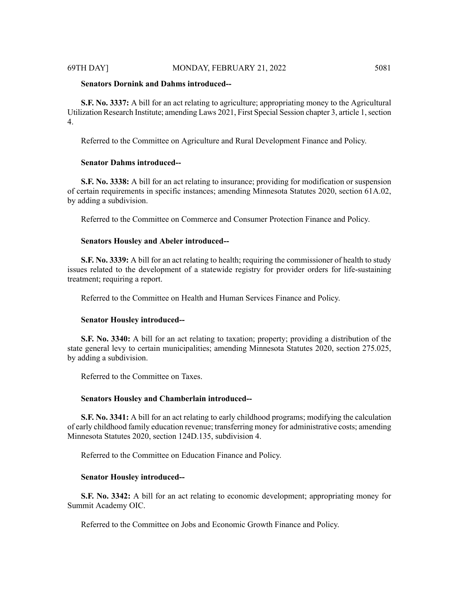# **Senators Dornink and Dahms introduced--**

**S.F. No. 3337:** A bill for an act relating to agriculture; appropriating money to the Agricultural Utilization Research Institute; amending Laws 2021, First Special Session chapter 3, article 1,section 4.

Referred to the Committee on Agriculture and Rural Development Finance and Policy.

#### **Senator Dahms introduced--**

**S.F. No. 3338:** A bill for an act relating to insurance; providing for modification or suspension of certain requirements in specific instances; amending Minnesota Statutes 2020, section 61A.02, by adding a subdivision.

Referred to the Committee on Commerce and Consumer Protection Finance and Policy.

# **Senators Housley and Abeler introduced--**

**S.F. No. 3339:** A bill for an act relating to health; requiring the commissioner of health to study issues related to the development of a statewide registry for provider orders for life-sustaining treatment; requiring a report.

Referred to the Committee on Health and Human Services Finance and Policy.

### **Senator Housley introduced--**

**S.F. No. 3340:** A bill for an act relating to taxation; property; providing a distribution of the state general levy to certain municipalities; amending Minnesota Statutes 2020, section 275.025, by adding a subdivision.

Referred to the Committee on Taxes.

#### **Senators Housley and Chamberlain introduced--**

**S.F. No. 3341:** A bill for an act relating to early childhood programs; modifying the calculation of early childhood family education revenue; transferring money for administrative costs; amending Minnesota Statutes 2020, section 124D.135, subdivision 4.

Referred to the Committee on Education Finance and Policy.

#### **Senator Housley introduced--**

**S.F. No. 3342:** A bill for an act relating to economic development; appropriating money for Summit Academy OIC.

Referred to the Committee on Jobs and Economic Growth Finance and Policy.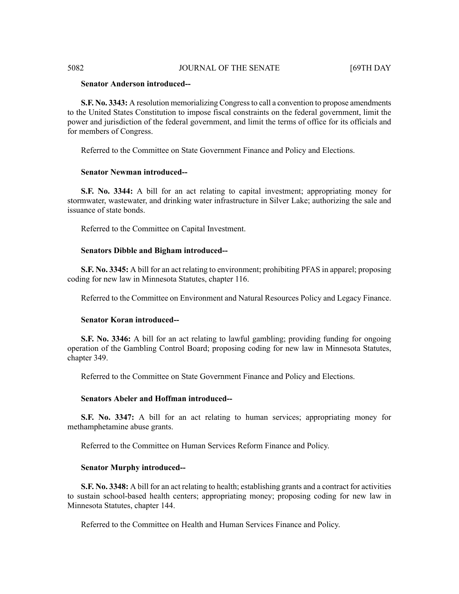# 5082 JOURNAL OF THE SENATE [69TH DAY

# **Senator Anderson introduced--**

**S.F. No. 3343:** A resolution memorializing Congressto call a convention to propose amendments to the United States Constitution to impose fiscal constraints on the federal government, limit the power and jurisdiction of the federal government, and limit the terms of office for its officials and for members of Congress.

Referred to the Committee on State Government Finance and Policy and Elections.

#### **Senator Newman introduced--**

**S.F. No. 3344:** A bill for an act relating to capital investment; appropriating money for stormwater, wastewater, and drinking water infrastructure in Silver Lake; authorizing the sale and issuance of state bonds.

Referred to the Committee on Capital Investment.

### **Senators Dibble and Bigham introduced--**

**S.F. No. 3345:** A bill for an act relating to environment; prohibiting PFAS in apparel; proposing coding for new law in Minnesota Statutes, chapter 116.

Referred to the Committee on Environment and Natural Resources Policy and Legacy Finance.

# **Senator Koran introduced--**

**S.F. No. 3346:** A bill for an act relating to lawful gambling; providing funding for ongoing operation of the Gambling Control Board; proposing coding for new law in Minnesota Statutes, chapter 349.

Referred to the Committee on State Government Finance and Policy and Elections.

#### **Senators Abeler and Hoffman introduced--**

**S.F. No. 3347:** A bill for an act relating to human services; appropriating money for methamphetamine abuse grants.

Referred to the Committee on Human Services Reform Finance and Policy.

### **Senator Murphy introduced--**

**S.F. No. 3348:** A bill for an act relating to health; establishing grants and a contract for activities to sustain school-based health centers; appropriating money; proposing coding for new law in Minnesota Statutes, chapter 144.

Referred to the Committee on Health and Human Services Finance and Policy.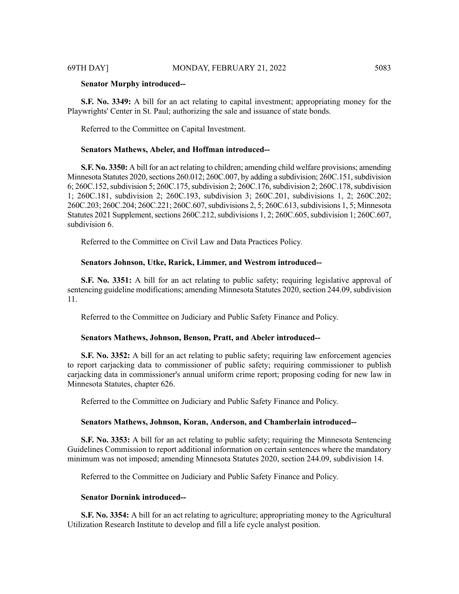### **Senator Murphy introduced--**

**S.F. No. 3349:** A bill for an act relating to capital investment; appropriating money for the Playwrights' Center in St. Paul; authorizing the sale and issuance of state bonds.

Referred to the Committee on Capital Investment.

#### **Senators Mathews, Abeler, and Hoffman introduced--**

**S.F. No. 3350:** A bill for an act relating to children; amending child welfare provisions; amending Minnesota Statutes 2020, sections 260.012; 260C.007, by adding a subdivision; 260C.151, subdivision 6; 260C.152,subdivision 5; 260C.175,subdivision 2; 260C.176,subdivision 2; 260C.178,subdivision 1; 260C.181, subdivision 2; 260C.193, subdivision 3; 260C.201, subdivisions 1, 2; 260C.202; 260C.203; 260C.204; 260C.221; 260C.607,subdivisions 2, 5; 260C.613,subdivisions 1, 5; Minnesota Statutes 2021 Supplement, sections 260C.212, subdivisions 1, 2; 260C.605, subdivision 1; 260C.607, subdivision 6.

Referred to the Committee on Civil Law and Data Practices Policy.

### **Senators Johnson, Utke, Rarick, Limmer, and Westrom introduced--**

**S.F. No. 3351:** A bill for an act relating to public safety; requiring legislative approval of sentencing guideline modifications; amending Minnesota Statutes 2020, section 244.09, subdivision 11.

Referred to the Committee on Judiciary and Public Safety Finance and Policy.

### **Senators Mathews, Johnson, Benson, Pratt, and Abeler introduced--**

**S.F.** No. 3352: A bill for an act relating to public safety; requiring law enforcement agencies to report carjacking data to commissioner of public safety; requiring commissioner to publish carjacking data in commissioner's annual uniform crime report; proposing coding for new law in Minnesota Statutes, chapter 626.

Referred to the Committee on Judiciary and Public Safety Finance and Policy.

#### **Senators Mathews, Johnson, Koran, Anderson, and Chamberlain introduced--**

**S.F. No. 3353:** A bill for an act relating to public safety; requiring the Minnesota Sentencing Guidelines Commission to report additional information on certain sentences where the mandatory minimum was not imposed; amending Minnesota Statutes 2020, section 244.09, subdivision 14.

Referred to the Committee on Judiciary and Public Safety Finance and Policy.

#### **Senator Dornink introduced--**

**S.F. No. 3354:** A bill for an act relating to agriculture; appropriating money to the Agricultural Utilization Research Institute to develop and fill a life cycle analyst position.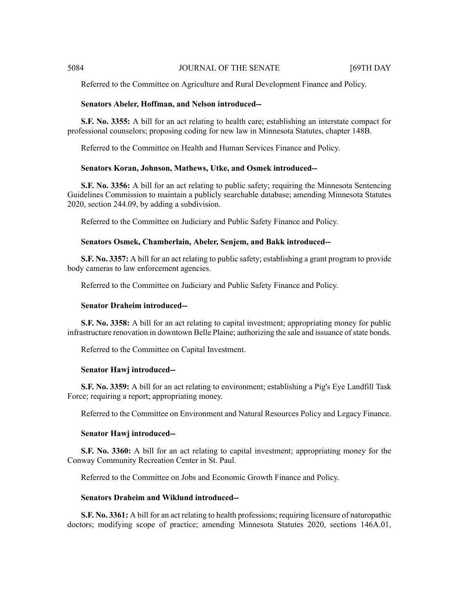5084 JOURNAL OF THE SENATE 69TH DAY

Referred to the Committee on Agriculture and Rural Development Finance and Policy.

# **Senators Abeler, Hoffman, and Nelson introduced--**

**S.F. No. 3355:** A bill for an act relating to health care; establishing an interstate compact for professional counselors; proposing coding for new law in Minnesota Statutes, chapter 148B.

Referred to the Committee on Health and Human Services Finance and Policy.

#### **Senators Koran, Johnson, Mathews, Utke, and Osmek introduced--**

**S.F. No. 3356:** A bill for an act relating to public safety; requiring the Minnesota Sentencing Guidelines Commission to maintain a publicly searchable database; amending Minnesota Statutes 2020, section 244.09, by adding a subdivision.

Referred to the Committee on Judiciary and Public Safety Finance and Policy.

#### **Senators Osmek, Chamberlain, Abeler, Senjem, and Bakk introduced--**

**S.F. No. 3357:** A bill for an act relating to public safety; establishing a grant program to provide body cameras to law enforcement agencies.

Referred to the Committee on Judiciary and Public Safety Finance and Policy.

#### **Senator Draheim introduced--**

**S.F. No. 3358:** A bill for an act relating to capital investment; appropriating money for public infrastructure renovation in downtown Belle Plaine; authorizing the sale and issuance of state bonds.

Referred to the Committee on Capital Investment.

#### **Senator Hawj introduced--**

**S.F. No. 3359:** A bill for an act relating to environment; establishing a Pig's Eye Landfill Task Force; requiring a report; appropriating money.

Referred to the Committee on Environment and Natural Resources Policy and Legacy Finance.

#### **Senator Hawj introduced--**

**S.F. No. 3360:** A bill for an act relating to capital investment; appropriating money for the Conway Community Recreation Center in St. Paul.

Referred to the Committee on Jobs and Economic Growth Finance and Policy.

# **Senators Draheim and Wiklund introduced--**

**S.F. No. 3361:** A bill for an act relating to health professions; requiring licensure of naturopathic doctors; modifying scope of practice; amending Minnesota Statutes 2020, sections 146A.01,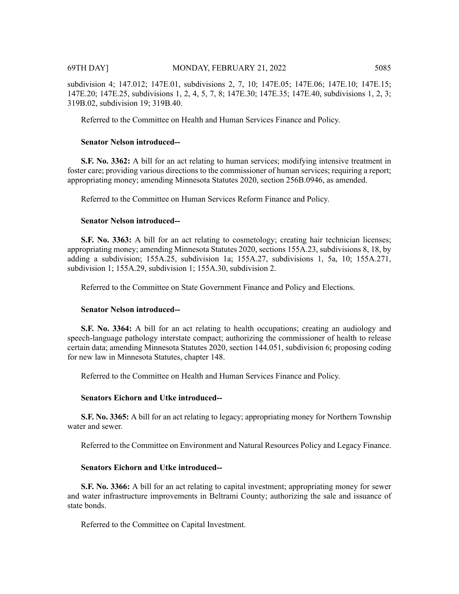subdivision 4; 147.012; 147E.01, subdivisions 2, 7, 10; 147E.05; 147E.06; 147E.10; 147E.15; 147E.20; 147E.25, subdivisions 1, 2, 4, 5, 7, 8; 147E.30; 147E.35; 147E.40, subdivisions 1, 2, 3; 319B.02, subdivision 19; 319B.40.

Referred to the Committee on Health and Human Services Finance and Policy.

# **Senator Nelson introduced--**

**S.F. No. 3362:** A bill for an act relating to human services; modifying intensive treatment in foster care; providing various directions to the commissioner of human services; requiring a report; appropriating money; amending Minnesota Statutes 2020, section 256B.0946, as amended.

Referred to the Committee on Human Services Reform Finance and Policy.

# **Senator Nelson introduced--**

**S.F. No. 3363:** A bill for an act relating to cosmetology; creating hair technician licenses; appropriating money; amending Minnesota Statutes 2020, sections 155A.23, subdivisions 8, 18, by adding a subdivision; 155A.25, subdivision 1a; 155A.27, subdivisions 1, 5a, 10; 155A.271, subdivision 1; 155A.29, subdivision 1; 155A.30, subdivision 2.

Referred to the Committee on State Government Finance and Policy and Elections.

# **Senator Nelson introduced--**

**S.F. No. 3364:** A bill for an act relating to health occupations; creating an audiology and speech-language pathology interstate compact; authorizing the commissioner of health to release certain data; amending Minnesota Statutes 2020, section 144.051, subdivision 6; proposing coding for new law in Minnesota Statutes, chapter 148.

Referred to the Committee on Health and Human Services Finance and Policy.

# **Senators Eichorn and Utke introduced--**

**S.F. No. 3365:** A bill for an act relating to legacy; appropriating money for Northern Township water and sewer.

Referred to the Committee on Environment and Natural Resources Policy and Legacy Finance.

# **Senators Eichorn and Utke introduced--**

**S.F. No. 3366:** A bill for an act relating to capital investment; appropriating money for sewer and water infrastructure improvements in Beltrami County; authorizing the sale and issuance of state bonds.

Referred to the Committee on Capital Investment.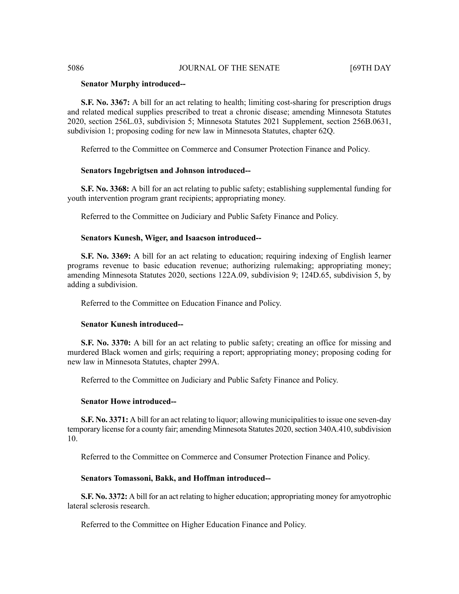# **Senator Murphy introduced--**

**S.F. No. 3367:** A bill for an act relating to health; limiting cost-sharing for prescription drugs and related medical supplies prescribed to treat a chronic disease; amending Minnesota Statutes 2020, section 256L.03, subdivision 5; Minnesota Statutes 2021 Supplement, section 256B.0631, subdivision 1; proposing coding for new law in Minnesota Statutes, chapter 62Q.

Referred to the Committee on Commerce and Consumer Protection Finance and Policy.

#### **Senators Ingebrigtsen and Johnson introduced--**

**S.F. No. 3368:** A bill for an act relating to public safety; establishing supplemental funding for youth intervention program grant recipients; appropriating money.

Referred to the Committee on Judiciary and Public Safety Finance and Policy.

#### **Senators Kunesh, Wiger, and Isaacson introduced--**

**S.F. No. 3369:** A bill for an act relating to education; requiring indexing of English learner programs revenue to basic education revenue; authorizing rulemaking; appropriating money; amending Minnesota Statutes 2020, sections 122A.09, subdivision 9; 124D.65, subdivision 5, by adding a subdivision.

Referred to the Committee on Education Finance and Policy.

# **Senator Kunesh introduced--**

**S.F. No. 3370:** A bill for an act relating to public safety; creating an office for missing and murdered Black women and girls; requiring a report; appropriating money; proposing coding for new law in Minnesota Statutes, chapter 299A.

Referred to the Committee on Judiciary and Public Safety Finance and Policy.

#### **Senator Howe introduced--**

**S.F. No. 3371:** A bill for an act relating to liquor; allowing municipalities to issue one seven-day temporary license for a county fair; amending Minnesota Statutes 2020, section 340A.410, subdivision 10.

Referred to the Committee on Commerce and Consumer Protection Finance and Policy.

# **Senators Tomassoni, Bakk, and Hoffman introduced--**

**S.F. No. 3372:** A bill for an act relating to higher education; appropriating money for amyotrophic lateral sclerosis research.

Referred to the Committee on Higher Education Finance and Policy.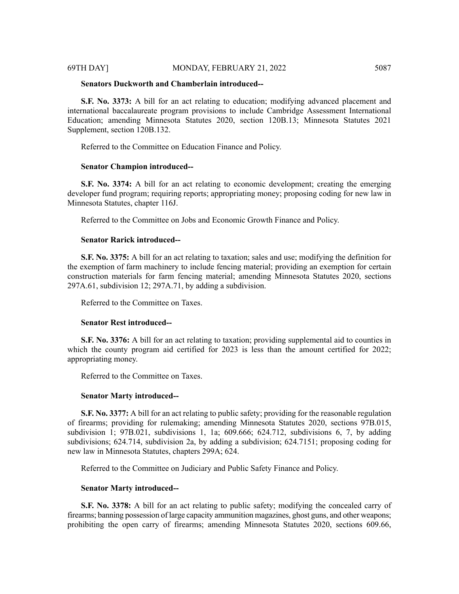# **Senators Duckworth and Chamberlain introduced--**

**S.F. No. 3373:** A bill for an act relating to education; modifying advanced placement and international baccalaureate program provisions to include Cambridge Assessment International Education; amending Minnesota Statutes 2020, section 120B.13; Minnesota Statutes 2021 Supplement, section 120B.132.

Referred to the Committee on Education Finance and Policy.

### **Senator Champion introduced--**

**S.F. No. 3374:** A bill for an act relating to economic development; creating the emerging developer fund program; requiring reports; appropriating money; proposing coding for new law in Minnesota Statutes, chapter 116J.

Referred to the Committee on Jobs and Economic Growth Finance and Policy.

### **Senator Rarick introduced--**

**S.F. No. 3375:** A bill for an act relating to taxation; sales and use; modifying the definition for the exemption of farm machinery to include fencing material; providing an exemption for certain construction materials for farm fencing material; amending Minnesota Statutes 2020, sections 297A.61, subdivision 12; 297A.71, by adding a subdivision.

Referred to the Committee on Taxes.

#### **Senator Rest introduced--**

**S.F. No. 3376:** A bill for an act relating to taxation; providing supplemental aid to counties in which the county program aid certified for 2023 is less than the amount certified for 2022; appropriating money.

Referred to the Committee on Taxes.

# **Senator Marty introduced--**

**S.F. No. 3377:** A bill for an act relating to public safety; providing for the reasonable regulation of firearms; providing for rulemaking; amending Minnesota Statutes 2020, sections 97B.015, subdivision 1; 97B.021, subdivisions 1, 1a; 609.666; 624.712, subdivisions 6, 7, by adding subdivisions; 624.714, subdivision 2a, by adding a subdivision; 624.7151; proposing coding for new law in Minnesota Statutes, chapters 299A; 624.

Referred to the Committee on Judiciary and Public Safety Finance and Policy.

# **Senator Marty introduced--**

**S.F. No. 3378:** A bill for an act relating to public safety; modifying the concealed carry of firearms; banning possession of large capacity ammunition magazines, ghost guns, and other weapons; prohibiting the open carry of firearms; amending Minnesota Statutes 2020, sections 609.66,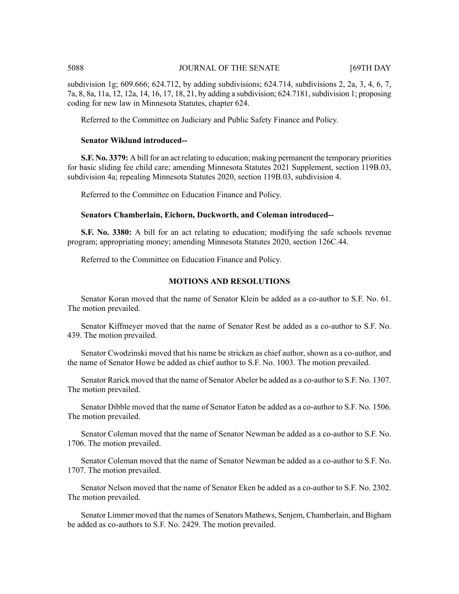# 5088 JOURNAL OF THE SENATE [69TH DAY

subdivision 1g; 609.666; 624.712, by adding subdivisions; 624.714, subdivisions 2, 2a, 3, 4, 6, 7, 7a, 8, 8a, 11a, 12, 12a, 14, 16, 17, 18, 21, by adding a subdivision; 624.7181,subdivision 1; proposing coding for new law in Minnesota Statutes, chapter 624.

Referred to the Committee on Judiciary and Public Safety Finance and Policy.

#### **Senator Wiklund introduced--**

**S.F. No. 3379:** A bill for an act relating to education; making permanent the temporary priorities for basic sliding fee child care; amending Minnesota Statutes 2021 Supplement, section 119B.03, subdivision 4a; repealing Minnesota Statutes 2020, section 119B.03, subdivision 4.

Referred to the Committee on Education Finance and Policy.

# **Senators Chamberlain, Eichorn, Duckworth, and Coleman introduced--**

**S.F. No. 3380:** A bill for an act relating to education; modifying the safe schools revenue program; appropriating money; amending Minnesota Statutes 2020, section 126C.44.

Referred to the Committee on Education Finance and Policy.

# **MOTIONS AND RESOLUTIONS**

Senator Koran moved that the name of Senator Klein be added as a co-author to S.F. No. 61. The motion prevailed.

Senator Kiffmeyer moved that the name of Senator Rest be added as a co-author to S.F. No. 439. The motion prevailed.

Senator Cwodzinski moved that his name be stricken as chief author, shown as a co-author, and the name of Senator Howe be added as chief author to S.F. No. 1003. The motion prevailed.

Senator Rarick moved that the name of Senator Abeler be added as a co-author to S.F. No. 1307. The motion prevailed.

Senator Dibble moved that the name of Senator Eaton be added as a co-author to S.F. No. 1506. The motion prevailed.

Senator Coleman moved that the name of Senator Newman be added as a co-author to S.F. No. 1706. The motion prevailed.

Senator Coleman moved that the name of Senator Newman be added as a co-author to S.F. No. 1707. The motion prevailed.

Senator Nelson moved that the name of Senator Eken be added as a co-author to S.F. No. 2302. The motion prevailed.

Senator Limmer moved that the names of Senators Mathews, Senjem, Chamberlain, and Bigham be added as co-authors to S.F. No. 2429. The motion prevailed.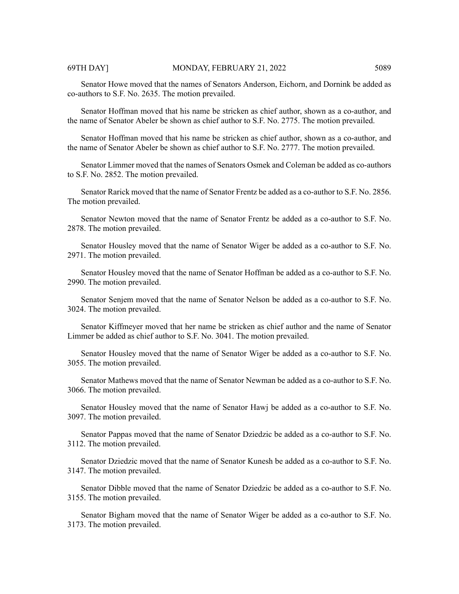Senator Howe moved that the names of Senators Anderson, Eichorn, and Dornink be added as co-authors to S.F. No. 2635. The motion prevailed.

Senator Hoffman moved that his name be stricken as chief author, shown as a co-author, and the name of Senator Abeler be shown as chief author to S.F. No. 2775. The motion prevailed.

Senator Hoffman moved that his name be stricken as chief author, shown as a co-author, and the name of Senator Abeler be shown as chief author to S.F. No. 2777. The motion prevailed.

Senator Limmer moved that the names of Senators Osmek and Coleman be added as co-authors to S.F. No. 2852. The motion prevailed.

Senator Rarick moved that the name of Senator Frentz be added as a co-author to S.F. No. 2856. The motion prevailed.

Senator Newton moved that the name of Senator Frentz be added as a co-author to S.F. No. 2878. The motion prevailed.

Senator Housley moved that the name of Senator Wiger be added as a co-author to S.F. No. 2971. The motion prevailed.

Senator Housley moved that the name of Senator Hoffman be added as a co-author to S.F. No. 2990. The motion prevailed.

Senator Senjem moved that the name of Senator Nelson be added as a co-author to S.F. No. 3024. The motion prevailed.

Senator Kiffmeyer moved that her name be stricken as chief author and the name of Senator Limmer be added as chief author to S.F. No. 3041. The motion prevailed.

Senator Housley moved that the name of Senator Wiger be added as a co-author to S.F. No. 3055. The motion prevailed.

Senator Mathews moved that the name of Senator Newman be added as a co-author to S.F. No. 3066. The motion prevailed.

Senator Housley moved that the name of Senator Hawj be added as a co-author to S.F. No. 3097. The motion prevailed.

Senator Pappas moved that the name of Senator Dziedzic be added as a co-author to S.F. No. 3112. The motion prevailed.

Senator Dziedzic moved that the name of Senator Kunesh be added as a co-author to S.F. No. 3147. The motion prevailed.

Senator Dibble moved that the name of Senator Dziedzic be added as a co-author to S.F. No. 3155. The motion prevailed.

Senator Bigham moved that the name of Senator Wiger be added as a co-author to S.F. No. 3173. The motion prevailed.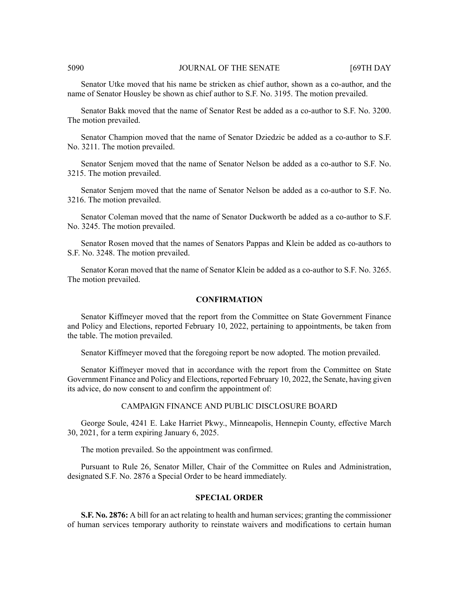### 5090 JOURNAL OF THE SENATE [69TH DAY

Senator Utke moved that his name be stricken as chief author, shown as a co-author, and the name of Senator Housley be shown as chief author to S.F. No. 3195. The motion prevailed.

Senator Bakk moved that the name of Senator Rest be added as a co-author to S.F. No. 3200. The motion prevailed.

Senator Champion moved that the name of Senator Dziedzic be added as a co-author to S.F. No. 3211. The motion prevailed.

Senator Senjem moved that the name of Senator Nelson be added as a co-author to S.F. No. 3215. The motion prevailed.

Senator Senjem moved that the name of Senator Nelson be added as a co-author to S.F. No. 3216. The motion prevailed.

Senator Coleman moved that the name of Senator Duckworth be added as a co-author to S.F. No. 3245. The motion prevailed.

Senator Rosen moved that the names of Senators Pappas and Klein be added as co-authors to S.F. No. 3248. The motion prevailed.

Senator Koran moved that the name of Senator Klein be added as a co-author to S.F. No. 3265. The motion prevailed.

#### **CONFIRMATION**

Senator Kiffmeyer moved that the report from the Committee on State Government Finance and Policy and Elections, reported February 10, 2022, pertaining to appointments, be taken from the table. The motion prevailed.

Senator Kiffmeyer moved that the foregoing report be now adopted. The motion prevailed.

Senator Kiffmeyer moved that in accordance with the report from the Committee on State Government Finance and Policy and Elections, reported February 10, 2022, the Senate, having given its advice, do now consent to and confirm the appointment of:

# CAMPAIGN FINANCE AND PUBLIC DISCLOSURE BOARD

George Soule, 4241 E. Lake Harriet Pkwy., Minneapolis, Hennepin County, effective March 30, 2021, for a term expiring January 6, 2025.

The motion prevailed. So the appointment was confirmed.

Pursuant to Rule 26, Senator Miller, Chair of the Committee on Rules and Administration, designated S.F. No. 2876 a Special Order to be heard immediately.

#### **SPECIAL ORDER**

**S.F. No. 2876:** A bill for an act relating to health and human services; granting the commissioner of human services temporary authority to reinstate waivers and modifications to certain human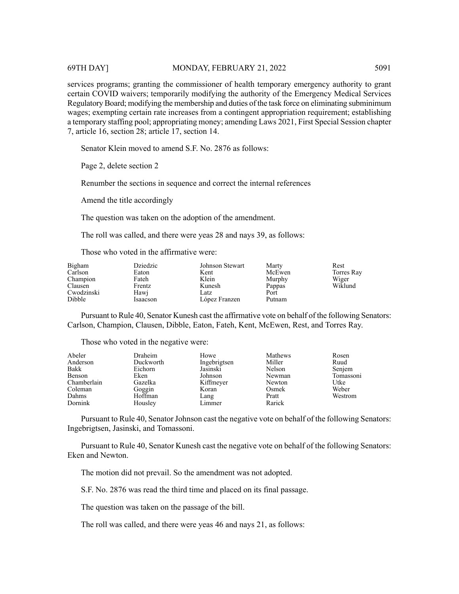services programs; granting the commissioner of health temporary emergency authority to grant certain COVID waivers; temporarily modifying the authority of the Emergency Medical Services Regulatory Board; modifying the membership and duties of the task force on eliminating subminimum wages; exempting certain rate increases from a contingent appropriation requirement; establishing a temporary staffing pool; appropriating money; amending Laws 2021, First Special Session chapter 7, article 16, section 28; article 17, section 14.

Senator Klein moved to amend S.F. No. 2876 as follows:

Page 2, delete section 2

Renumber the sections in sequence and correct the internal references

Amend the title accordingly

The question was taken on the adoption of the amendment.

The roll was called, and there were yeas 28 and nays 39, as follows:

Those who voted in the affirmative were:

| Bigham     | Dziedzic | Johnson Stewart | Marty  | Rest       |
|------------|----------|-----------------|--------|------------|
| Carlson    | Eaton    | Kent            | McEwen | Torres Ray |
| Champion   | Fateh    | Klein           | Murphy | Wiger      |
| Clausen    | Frentz   | Kunesh          | Pappas | Wiklund    |
| Cwodzinski | Hawi     | Latz            | Port   |            |
| Dibble     | Isaacson | López Franzen   | Putnam |            |

Pursuant to Rule 40, Senator Kunesh cast the affirmative vote on behalf of the following Senators: Carlson, Champion, Clausen, Dibble, Eaton, Fateh, Kent, McEwen, Rest, and Torres Ray.

Those who voted in the negative were:

| Abeler      | Draheim   | Howe         | Mathews | Rosen     |
|-------------|-----------|--------------|---------|-----------|
| Anderson    | Duckworth | Ingebrigtsen | Miller  | Ruud      |
| Bakk        | Eichorn   | Jasinski     | Nelson  | Senjem    |
| Benson      | Eken      | Johnson      | Newman  | Tomassoni |
| Chamberlain | Gazelka   | Kiffmeyer    | Newton  | Utke      |
| Coleman     | Goggin    | Koran        | Osmek   | Weber     |
| Dahms       | Hoffman   | Lang         | Pratt   | Westrom   |
| Dornink     | Housley   | Limmer       | Rarick  |           |

Pursuant to Rule 40, Senator Johnson cast the negative vote on behalf of the following Senators: Ingebrigtsen, Jasinski, and Tomassoni.

Pursuant to Rule 40, Senator Kunesh cast the negative vote on behalf of the following Senators: Eken and Newton.

The motion did not prevail. So the amendment was not adopted.

S.F. No. 2876 was read the third time and placed on its final passage.

The question was taken on the passage of the bill.

The roll was called, and there were yeas 46 and nays 21, as follows: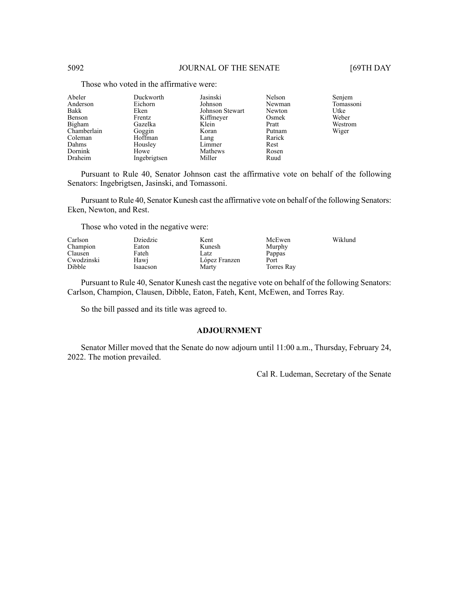| Abeler      | Duckworth    | Jasinski        | Nelson | Senjem    |
|-------------|--------------|-----------------|--------|-----------|
| Anderson    | Eichorn      | Johnson         | Newman | Tomassoni |
| Bakk        | Eken         | Johnson Stewart | Newton | Utke      |
| Benson      | Frentz       | Kiffmeyer       | Osmek  | Weber     |
| Bigham      | Gazelka      | Klein           | Pratt  | Westrom   |
| Chamberlain | Goggin       | Koran           | Putnam | Wiger     |
| Coleman     | Hoffman      | Lang            | Rarick |           |
| Dahms       | Housley      | Limmer          | Rest   |           |
| Dornink     | Howe         | Mathews         | Rosen  |           |
| Draheim     | Ingebrigtsen | Miller          | Ruud   |           |
|             |              |                 |        |           |

Those who voted in the affirmative were:

Pursuant to Rule 40, Senator Johnson cast the affirmative vote on behalf of the following Senators: Ingebrigtsen, Jasinski, and Tomassoni.

Pursuant to Rule 40, Senator Kunesh cast the affirmative vote on behalf of the following Senators: Eken, Newton, and Rest.

Those who voted in the negative were:

| Carlson    | Dziedzic | Kent          | McEwen     | Wiklund |
|------------|----------|---------------|------------|---------|
| Champion   | Eaton    | Kunesh        | Murphy     |         |
| Clausen    | Fateh    | .atz          | Pappas     |         |
| Cwodzinski | Hawi     | López Franzen | Port       |         |
| Dibble     | Isaacson | Marty         | Torres Ray |         |

Pursuant to Rule 40, Senator Kunesh cast the negative vote on behalf of the following Senators: Carlson, Champion, Clausen, Dibble, Eaton, Fateh, Kent, McEwen, and Torres Ray.

So the bill passed and its title was agreed to.

# **ADJOURNMENT**

Senator Miller moved that the Senate do now adjourn until 11:00 a.m., Thursday, February 24, 2022. The motion prevailed.

Cal R. Ludeman, Secretary of the Senate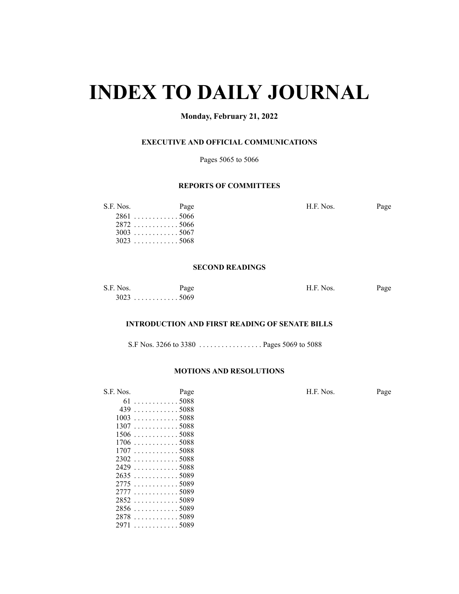# **INDEX TO DAILY JOURNAL**

# **Monday, February 21, 2022**

# **EXECUTIVE AND OFFICIAL COMMUNICATIONS**

Pages 5065 to 5066

# **REPORTS OF COMMITTEES**

| S.F. Nos. | Page        | H.F. Nos. | Page |
|-----------|-------------|-----------|------|
|           | $2861$ 5066 |           |      |
|           | $2872$ 5066 |           |      |
|           | $3003$ 5067 |           |      |
|           | $3023$ 5068 |           |      |

#### **SECOND READINGS**

| S.F. Nos. | Page  | H.F. Nos. | Page |
|-----------|-------|-----------|------|
| 3023      | 35069 |           |      |

# **INTRODUCTION AND FIRST READING OF SENATE BILLS**

S.F Nos. 3266 to 3380 . . . . . . . . . . . . . . . . . Pages 5069 to 5088

# **MOTIONS AND RESOLUTIONS**

. . . . . . . . . . . . 5089

| S.F. Nos. | Page                            | H.F. Nos. | Page |
|-----------|---------------------------------|-----------|------|
|           | $61$ 5088                       |           |      |
|           | $439 \ldots \ldots \ldots 5088$ |           |      |
|           | $1003$ 5088                     |           |      |
|           | $1307$ 5088                     |           |      |
|           | $1506$ 5088                     |           |      |
|           | $1706$ 5088                     |           |      |
|           | $1707$ 5088                     |           |      |
|           | $2302$ 5088                     |           |      |
|           | $2429$ 5088                     |           |      |
|           | $2635$ 5089                     |           |      |
|           | 27755089                        |           |      |
|           | 27775089                        |           |      |
|           | $2852$ 5089                     |           |      |
|           | $2856 \dots \dots \dots 5089$   |           |      |
|           | 28785089                        |           |      |